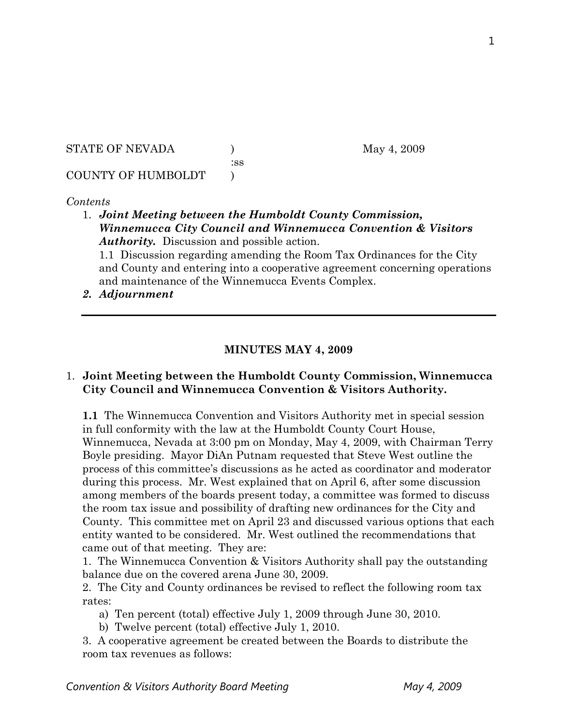STATE OF NEVADA (a) (b) May 4, 2009

:ss

## COUNTY OF HUMBOLDT )

## *Contents*

1. *Joint Meeting between the Humboldt County Commission, Winnemucca City Council and Winnemucca Convention & Visitors Authority.* Discussion and possible action.

1.1 Discussion regarding amending the Room Tax Ordinances for the City and County and entering into a cooperative agreement concerning operations and maintenance of the Winnemucca Events Complex.

*2. Adjournment* 

## **MINUTES MAY 4, 2009**

## 1. **Joint Meeting between the Humboldt County Commission, Winnemucca City Council and Winnemucca Convention & Visitors Authority.**

**1.1** The Winnemucca Convention and Visitors Authority met in special session in full conformity with the law at the Humboldt County Court House, Winnemucca, Nevada at 3:00 pm on Monday, May 4, 2009, with Chairman Terry Boyle presiding. Mayor DiAn Putnam requested that Steve West outline the process of this committee's discussions as he acted as coordinator and moderator during this process. Mr. West explained that on April 6, after some discussion among members of the boards present today, a committee was formed to discuss the room tax issue and possibility of drafting new ordinances for the City and County. This committee met on April 23 and discussed various options that each entity wanted to be considered. Mr. West outlined the recommendations that came out of that meeting. They are:

1. The Winnemucca Convention & Visitors Authority shall pay the outstanding balance due on the covered arena June 30, 2009.

2. The City and County ordinances be revised to reflect the following room tax rates:

a) Ten percent (total) effective July 1, 2009 through June 30, 2010.

b) Twelve percent (total) effective July 1, 2010.

3. A cooperative agreement be created between the Boards to distribute the room tax revenues as follows: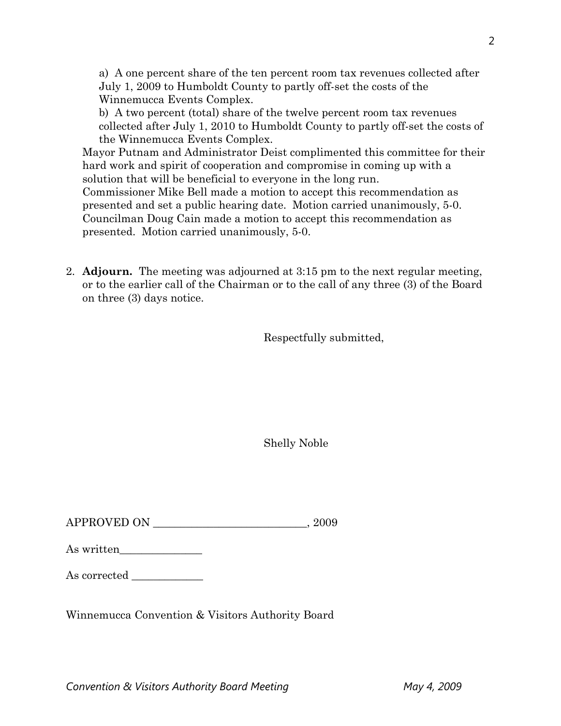a) A one percent share of the ten percent room tax revenues collected after July 1, 2009 to Humboldt County to partly off-set the costs of the Winnemucca Events Complex.

b) A two percent (total) share of the twelve percent room tax revenues collected after July 1, 2010 to Humboldt County to partly off-set the costs of the Winnemucca Events Complex.

Mayor Putnam and Administrator Deist complimented this committee for their hard work and spirit of cooperation and compromise in coming up with a solution that will be beneficial to everyone in the long run. Commissioner Mike Bell made a motion to accept this recommendation as presented and set a public hearing date. Motion carried unanimously, 5-0. Councilman Doug Cain made a motion to accept this recommendation as

presented. Motion carried unanimously, 5-0.

2. **Adjourn.** The meeting was adjourned at 3:15 pm to the next regular meeting, or to the earlier call of the Chairman or to the call of any three (3) of the Board on three (3) days notice.

Respectfully submitted,

Shelly Noble

 $\begin{tabular}{c} \bf APPROVED ON \end{tabular} \begin{tabular}{c} \begin{tabular}{c} \multicolumn{1}{c}{} \multicolumn{1}{c}{} \multicolumn{1}{c}{} \multicolumn{1}{c}{} \multicolumn{1}{c}{} \multicolumn{1}{c}{} \multicolumn{1}{c}{} \multicolumn{1}{c}{} \multicolumn{1}{c}{} \multicolumn{1}{c}{} \multicolumn{1}{c}{} \multicolumn{1}{c}{} \multicolumn{1}{c}{} \multicolumn{1}{c}{} \multicolumn{1}{c}{} \multicolumn{1}{c}{} \multicolumn{1}{c}{} \multicolumn{1}{c}{} \multicolumn$ 

| As written |
|------------|
|------------|

As corrected

Winnemucca Convention & Visitors Authority Board